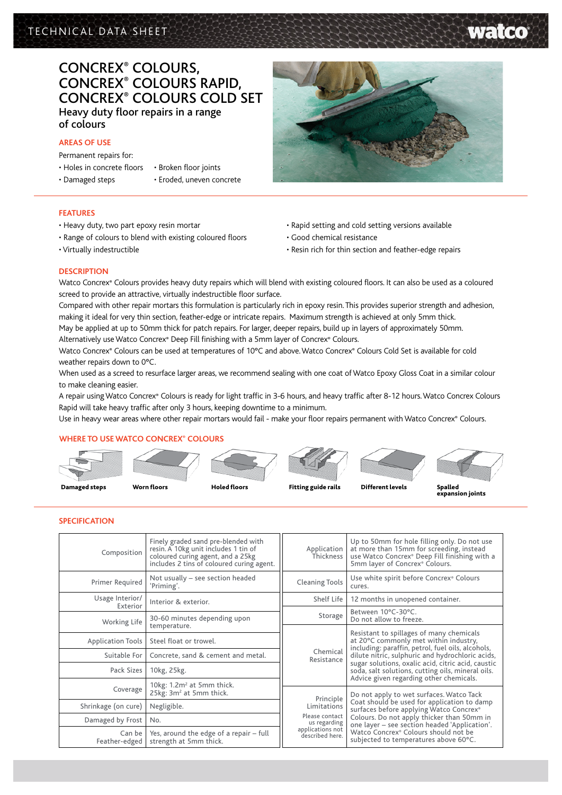# TECHNICAL DATA SHEET

# Concrex® Colours, Concrex® Colours Rapid, Concrex® Colours Cold Set Heavy duty floor repairs in a range of colours

## **AREAS OF USE**

Permanent repairs for:

- Holes in concrete floors • Broken floor joints
- Damaged steps
- 
- 
- Eroded, uneven concrete

# **FEATURES**

- Heavy duty, two part epoxy resin mortar
- Range of colours to blend with existing coloured floors
- Virtually indestructible



- Rapid setting and cold setting versions available
- Good chemical resistance
- Resin rich for thin section and feather-edge repairs

## **DESCRIPTION**

Watco Concrex® Colours provides heavy duty repairs which will blend with existing coloured floors. It can also be used as a coloured screed to provide an attractive, virtually indestructible floor surface.

Compared with other repair mortars this formulation is particularly rich in epoxy resin. This provides superior strength and adhesion, making it ideal for very thin section, feather-edge or intricate repairs. Maximum strength is achieved at only 5mm thick. May be applied at up to 50mm thick for patch repairs. For larger, deeper repairs, build up in layers of approximately 50mm.

Alternatively use Watco Concrex® Deep Fill finishing with a 5mm layer of Concrex® Colours.

Watco Concrex® Colours can be used at temperatures of 10°C and above. Watco Concrex® Colours Cold Set is available for cold weather repairs down to 0°C.

When used as a screed to resurface larger areas, we recommend sealing with one coat of Watco Epoxy Gloss Coat in a similar colour to make cleaning easier.

A repair using Watco Concrex® Colours is ready for light traffic in 3-6 hours, and heavy traffic after 8-12 hours. Watco Concrex Colours Rapid will take heavy traffic after only 3 hours, keeping downtime to a minimum.

Use in heavy wear areas where other repair mortars would fail - make your floor repairs permanent with Watco Concrex® Colours.

# **Where to use Watco Concrex® colours**



### **Specification**

| Composition                 | Finely graded sand pre-blended with<br>resin. A 10kg unit includes 1 tin of<br>coloured curing agent, and a 25kg<br>includes 2 tins of coloured curing agent. | Application<br>.<br>Thickness       | Up to 50mm for hole filling only. Do not use<br>at more than 15mm for screeding, instead<br>use Watco Concrex® Deep Fill finishing with a<br>5mm layer of Concrex® Colours.                                                                                                                           |  |  |
|-----------------------------|---------------------------------------------------------------------------------------------------------------------------------------------------------------|-------------------------------------|-------------------------------------------------------------------------------------------------------------------------------------------------------------------------------------------------------------------------------------------------------------------------------------------------------|--|--|
| Primer Required             | Not usually - see section headed<br>'Priming'.                                                                                                                | <b>Cleaning Tools</b>               | Use white spirit before Concrex® Colours<br>cures.                                                                                                                                                                                                                                                    |  |  |
| Usage Interior/<br>Exterior | Interior & exterior.                                                                                                                                          | Shelf Life                          | 12 months in unopened container.                                                                                                                                                                                                                                                                      |  |  |
| Working Life                | 30-60 minutes depending upon                                                                                                                                  | Storage                             | Between 10°C-30°C.<br>Do not allow to freeze.                                                                                                                                                                                                                                                         |  |  |
| <b>Application Tools</b>    | temperature.<br>Steel float or trowel.                                                                                                                        |                                     | Resistant to spillages of many chemicals<br>at 20°C commonly met within industry,<br>including: paraffin, petrol, fuel oils, alcohols,<br>dilute nitric, sulphuric and hydrochloric acids,<br>sugar solutions, oxalic acid, citric acid, caustic<br>soda, salt solutions, cutting oils, mineral oils. |  |  |
| Suitable For                | Concrete, sand & cement and metal.                                                                                                                            | Chemical<br>Resistance              |                                                                                                                                                                                                                                                                                                       |  |  |
| Pack Sizes                  | 10kg, 25kg.                                                                                                                                                   |                                     |                                                                                                                                                                                                                                                                                                       |  |  |
| Coverage                    | 10 $kg: 1.2m2$ at 5mm thick.<br>25kg: 3m <sup>2</sup> at 5mm thick.                                                                                           | Principle<br>Limitations            | Advice given regarding other chemicals.<br>Do not apply to wet surfaces. Watco Tack                                                                                                                                                                                                                   |  |  |
| Shrinkage (on cure)         | Negligible.                                                                                                                                                   |                                     | Coat should be used for application to damp<br>surfaces before applying Watco Concrex®<br>Colours. Do not apply thicker than 50mm in<br>one layer - see section headed 'Application'.<br>Watco Concrex <sup>®</sup> Colours should not be<br>subjected to temperatures above 60°C.                    |  |  |
| Damaged by Frost            | No.                                                                                                                                                           | Please contact<br>us regarding      |                                                                                                                                                                                                                                                                                                       |  |  |
| Can be<br>Feather-edged     | Yes, around the edge of a repair - full<br>strength at 5mm thick.                                                                                             | applications not<br>described here. |                                                                                                                                                                                                                                                                                                       |  |  |